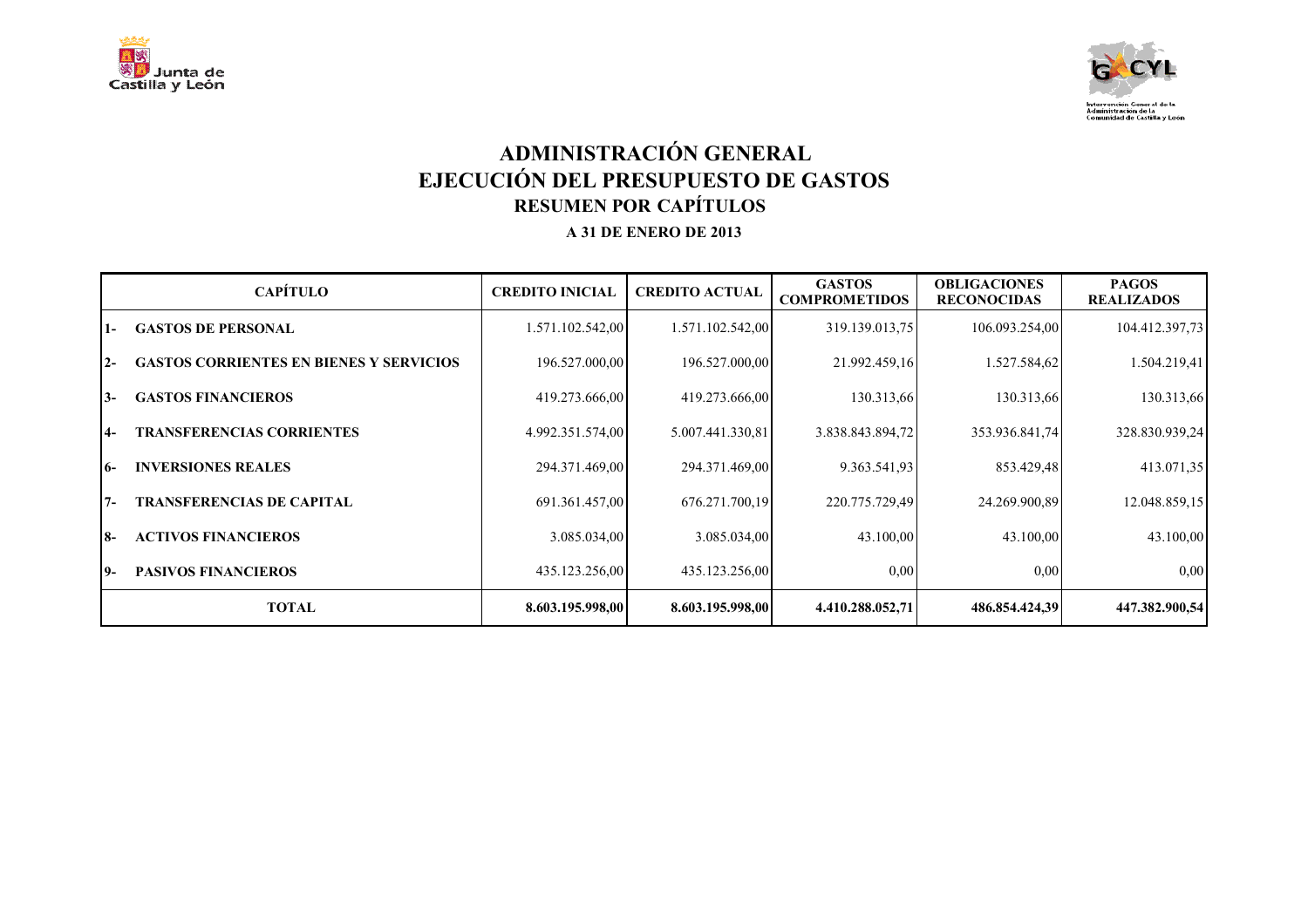



# **ADMINISTRACIÓN GENERAL EJECUCIÓN DEL PRESUPUESTO DE GASTOS RESUMEN POR CAPÍTULOS A 31 DE ENERO DE 2013**

|           | <b>CAPÍTULO</b>                                | <b>CREDITO INICIAL</b> | <b>CREDITO ACTUAL</b> | <b>GASTOS</b><br><b>COMPROMETIDOS</b> | <b>OBLIGACIONES</b><br><b>RECONOCIDAS</b> | <b>PAGOS</b><br><b>REALIZADOS</b> |
|-----------|------------------------------------------------|------------------------|-----------------------|---------------------------------------|-------------------------------------------|-----------------------------------|
| $1 -$     | <b>GASTOS DE PERSONAL</b>                      | 1.571.102.542,00       | 1.571.102.542,00      | 319.139.013.75                        | 106.093.254,00                            | 104.412.397,73                    |
| $2 -$     | <b>GASTOS CORRIENTES EN BIENES Y SERVICIOS</b> | 196.527.000,00         | 196.527.000,00        | 21.992.459,16                         | 1.527.584,62                              | 1.504.219,41                      |
| $3-$      | <b>GASTOS FINANCIEROS</b>                      | 419.273.666,00         | 419.273.666,00        | 130.313,66                            | 130.313,66                                | 130.313,66                        |
| <b>4-</b> | <b>TRANSFERENCIAS CORRIENTES</b>               | 4.992.351.574,00       | 5.007.441.330,81      | 3.838.843.894,72                      | 353.936.841.74                            | 328.830.939,24                    |
| I6-       | <b>INVERSIONES REALES</b>                      | 294.371.469,00         | 294.371.469,00        | 9.363.541.93                          | 853.429,48                                | 413.071,35                        |
| $7 -$     | <b>TRANSFERENCIAS DE CAPITAL</b>               | 691.361.457,00         | 676.271.700,19        | 220.775.729,49                        | 24.269.900,89                             | 12.048.859,15                     |
| <b>8-</b> | <b>ACTIVOS FINANCIEROS</b>                     | 3.085.034,00           | 3.085.034,00          | 43.100,00                             | 43.100,00                                 | 43.100,00                         |
| 19-       | <b>PASIVOS FINANCIEROS</b>                     | 435.123.256,00         | 435.123.256,00        | 0,00                                  | 0,00                                      | 0,00                              |
|           | <b>TOTAL</b>                                   | 8.603.195.998,00       | 8.603.195.998,00      | 4.410.288.052,71                      | 486.854.424,39                            | 447.382.900,54                    |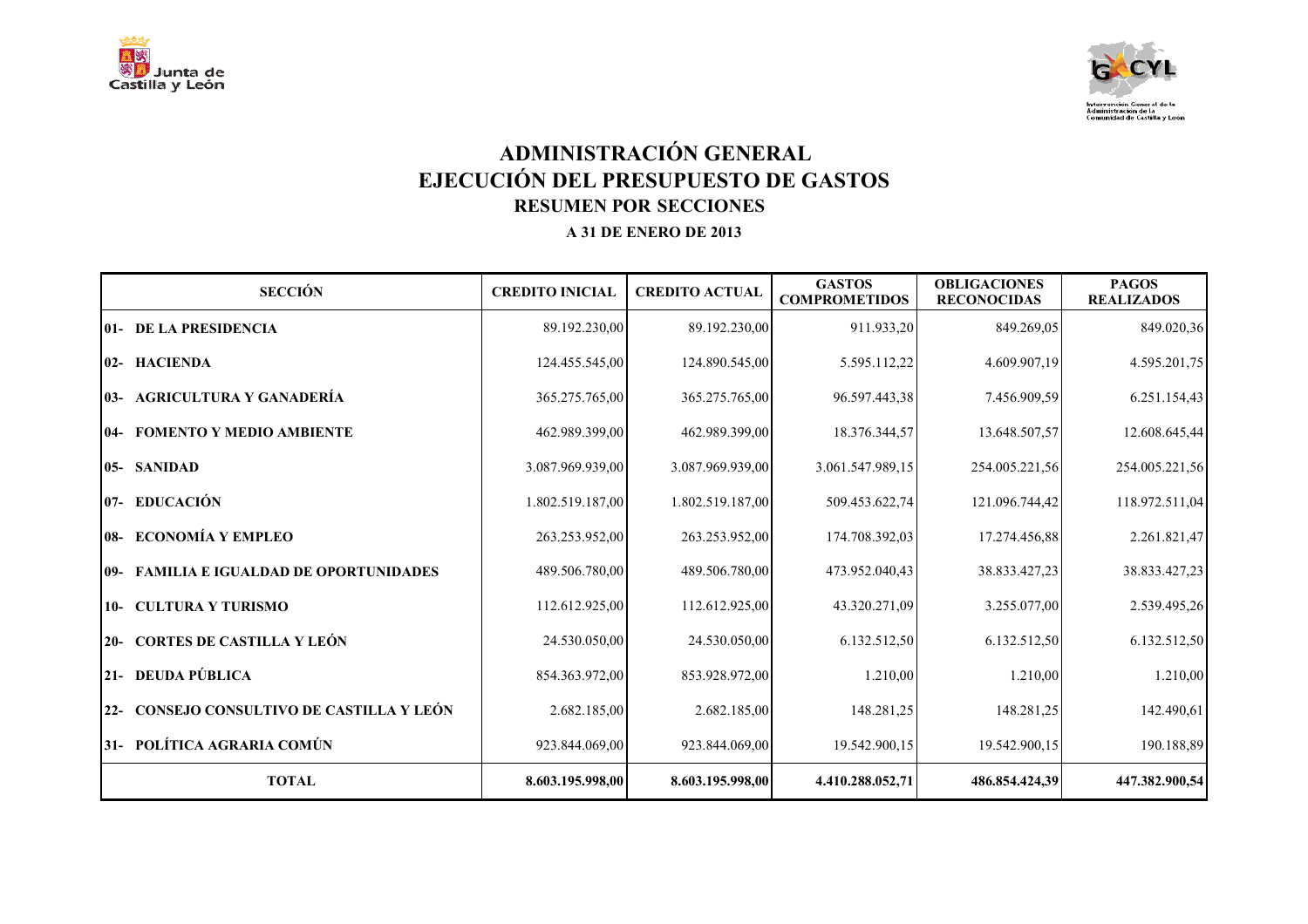



# **ADMINISTRACIÓN GENERAL EJECUCIÓN DEL PRESUPUESTO DE GASTOS RESUMEN POR SECCIONES A 31 DE ENERO DE 2013**

| <b>SECCIÓN</b>                            | <b>CREDITO INICIAL</b> | <b>CREDITO ACTUAL</b> | <b>GASTOS</b><br><b>COMPROMETIDOS</b> | <b>OBLIGACIONES</b><br><b>RECONOCIDAS</b> | <b>PAGOS</b><br><b>REALIZADOS</b> |
|-------------------------------------------|------------------------|-----------------------|---------------------------------------|-------------------------------------------|-----------------------------------|
| <b>01- DE LA PRESIDENCIA</b>              | 89.192.230,00          | 89.192.230,00         | 911.933,20                            | 849.269,05                                | 849.020,36                        |
| 02- HACIENDA                              | 124.455.545,00         | 124.890.545,00        | 5.595.112,22                          | 4.609.907,19                              | 4.595.201,75                      |
| 03- AGRICULTURA Y GANADERÍA               | 365.275.765,00         | 365.275.765,00        | 96.597.443,38                         | 7.456.909.59                              | 6.251.154,43                      |
| 04- FOMENTO Y MEDIO AMBIENTE              | 462.989.399,00         | 462.989.399,00        | 18.376.344,57                         | 13.648.507,57                             | 12.608.645,44                     |
| 05- SANIDAD                               | 3.087.969.939,00       | 3.087.969.939,00      | 3.061.547.989,15                      | 254.005.221,56                            | 254.005.221,56                    |
| 07- EDUCACIÓN                             | 1.802.519.187,00       | 1.802.519.187,00      | 509.453.622,74                        | 121.096.744,42                            | 118.972.511,04                    |
| 08- ECONOMÍA Y EMPLEO                     | 263.253.952,00         | 263.253.952,00        | 174.708.392,03                        | 17.274.456,88                             | 2.261.821,47                      |
| 09- FAMILIA E IGUALDAD DE OPORTUNIDADES   | 489.506.780,00         | 489.506.780,00        | 473.952.040,43                        | 38.833.427,23                             | 38.833.427,23                     |
| 10- CULTURA Y TURISMO                     | 112.612.925,00         | 112.612.925,00        | 43.320.271,09                         | 3.255.077,00                              | 2.539.495,26                      |
| 20- CORTES DE CASTILLA Y LEÓN             | 24.530.050,00          | 24.530.050,00         | 6.132.512,50                          | 6.132.512,50                              | 6.132.512,50                      |
| 21- DEUDA PÚBLICA                         | 854.363.972,00         | 853.928.972,00        | 1.210,00                              | 1.210,00                                  | 1.210,00                          |
| 22- CONSEJO CONSULTIVO DE CASTILLA Y LEÓN | 2.682.185,00           | 2.682.185,00          | 148.281,25                            | 148.281,25                                | 142.490,61                        |
| 31- POLÍTICA AGRARIA COMÚN                | 923.844.069,00         | 923.844.069,00        | 19.542.900,15                         | 19.542.900,15                             | 190.188,89                        |
| <b>TOTAL</b>                              | 8.603.195.998,00       | 8.603.195.998,00      | 4.410.288.052,71                      | 486.854.424,39                            | 447.382.900,54                    |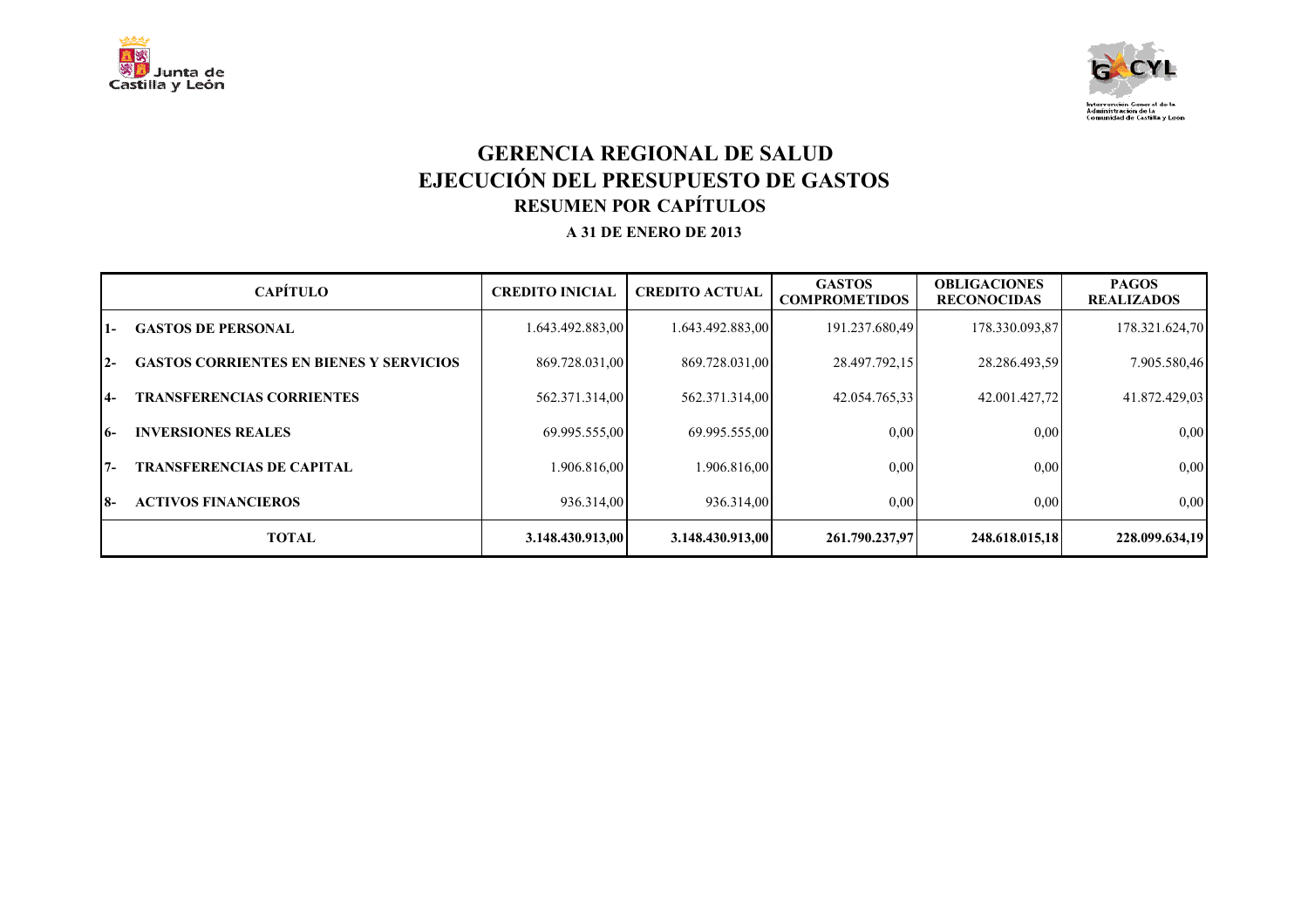



#### **GERENCIA REGIONAL DE SALUD EJECUCIÓN DEL PRESUPUESTO DE GASTOS RESUMEN POR CAPÍTULOS A 31 DE ENERO DE 2013**

|                | <b>CAPÍTULO</b>                                | <b>CREDITO INICIAL</b> | <b>CREDITO ACTUAL</b> | <b>GASTOS</b><br><b>COMPROMETIDOS</b> | <b>OBLIGACIONES</b><br><b>RECONOCIDAS</b> | <b>PAGOS</b><br><b>REALIZADOS</b> |
|----------------|------------------------------------------------|------------------------|-----------------------|---------------------------------------|-------------------------------------------|-----------------------------------|
| 1-             | <b>GASTOS DE PERSONAL</b>                      | 1.643.492.883,00       | 1.643.492.883,00      | 191.237.680,49                        | 178.330.093,87                            | 178.321.624,70                    |
| $2 -$          | <b>GASTOS CORRIENTES EN BIENES Y SERVICIOS</b> | 869.728.031,00         | 869.728.031,00        | 28.497.792,15                         | 28.286.493,59                             | 7.905.580,46                      |
| $\overline{4}$ | <b>TRANSFERENCIAS CORRIENTES</b>               | 562.371.314,00         | 562.371.314,00        | 42.054.765.33                         | 42.001.427.72                             | 41.872.429,03                     |
| I6-            | <b>INVERSIONES REALES</b>                      | 69.995.555,00          | 69.995.555,00         | 0.00                                  | 0.00                                      | 0,00                              |
| $7 -$          | <b>TRANSFERENCIAS DE CAPITAL</b>               | 1.906.816,00           | 1.906.816,00          | 0.00                                  | 0.00                                      | 0,00                              |
| 18-            | <b>ACTIVOS FINANCIEROS</b>                     | 936.314,00             | 936.314.00            | 0,00                                  | 0.00                                      | 0,00                              |
|                | <b>TOTAL</b>                                   | 3.148.430.913,00       | 3.148.430.913.00      | 261.790.237.97                        | 248.618.015,18                            | 228.099.634.19                    |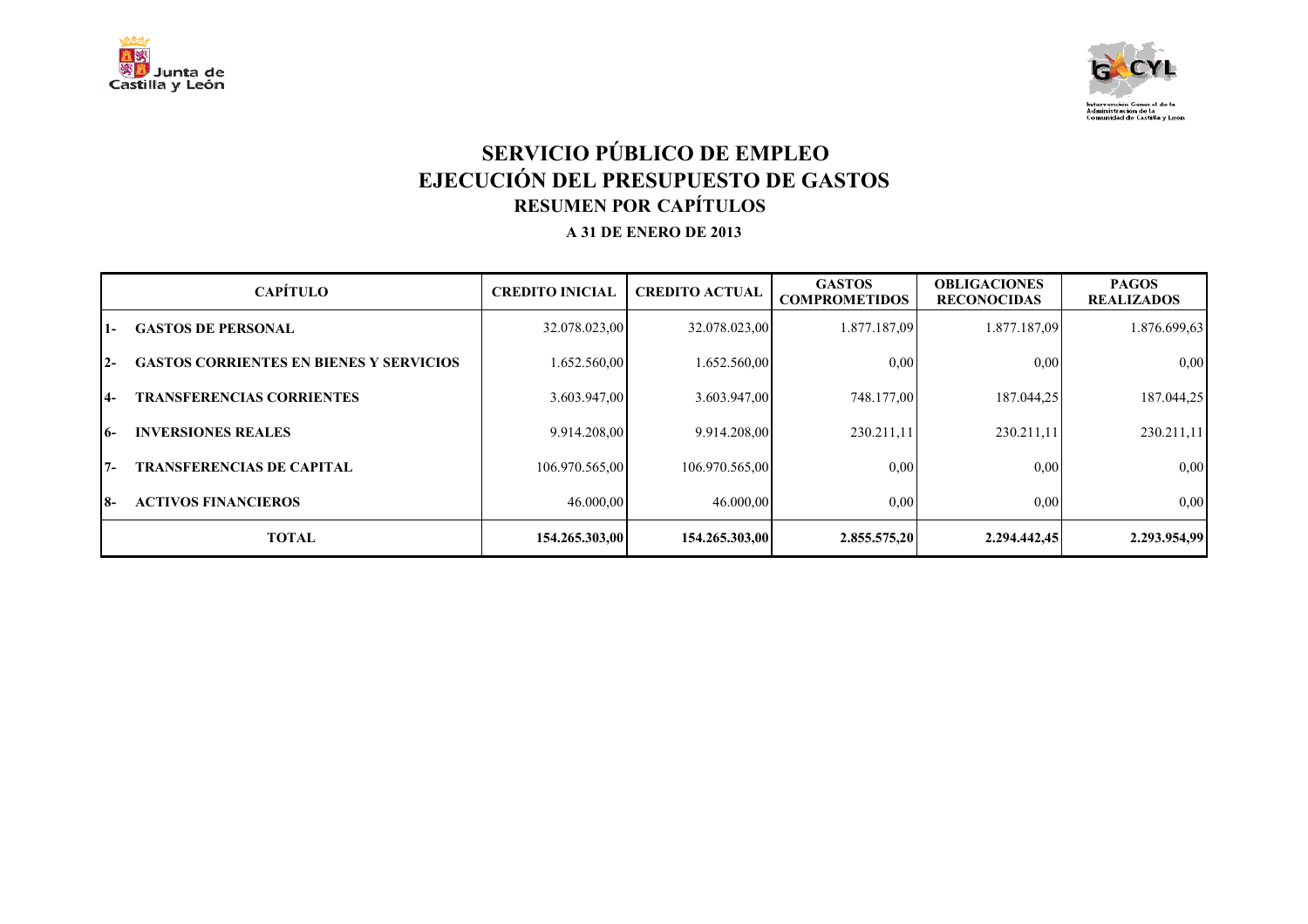



# **SERVICIO PÚBLICO DE EMPLEO EJECUCIÓN DEL PRESUPUESTO DE GASTOS RESUMEN POR CAPÍTULOS A 31 DE ENERO DE 2013**

|       | <b>CAPÍTULO</b>                                | <b>CREDITO INICIAL</b> | <b>CREDITO ACTUAL</b> | <b>GASTOS</b><br><b>COMPROMETIDOS</b> | <b>OBLIGACIONES</b><br><b>RECONOCIDAS</b> | <b>PAGOS</b><br><b>REALIZADOS</b> |
|-------|------------------------------------------------|------------------------|-----------------------|---------------------------------------|-------------------------------------------|-----------------------------------|
| 1-    | <b>GASTOS DE PERSONAL</b>                      | 32.078.023,00          | 32.078.023,00         | 1.877.187,09                          | 1.877.187,09                              | 1.876.699,63                      |
| $2 -$ | <b>GASTOS CORRIENTES EN BIENES Y SERVICIOS</b> | .652.560,00            | 1.652.560,00          | 0.00                                  | 0.00                                      | 0,00                              |
| $4-$  | <b>TRANSFERENCIAS CORRIENTES</b>               | 3.603.947,00           | 3.603.947.00          | 748.177,00                            | 187.044,25                                | 187.044,25                        |
| 16-   | <b>INVERSIONES REALES</b>                      | 9.914.208.00           | 9.914.208.00          | 230.211,11                            | 230.211,11                                | 230.211,11                        |
| $7 -$ | <b>TRANSFERENCIAS DE CAPITAL</b>               | 106.970.565,00         | 106.970.565,00        | 0,00                                  | 0.00                                      | 0,00                              |
| I8-   | <b>ACTIVOS FINANCIEROS</b>                     | 46.000,00              | 46,000,00             | 0,00                                  | 0,00                                      | 0,00                              |
|       | <b>TOTAL</b>                                   | 154.265.303.00         | 154.265.303.00        | 2.855.575,20                          | 2.294.442.45                              | 2.293.954,99                      |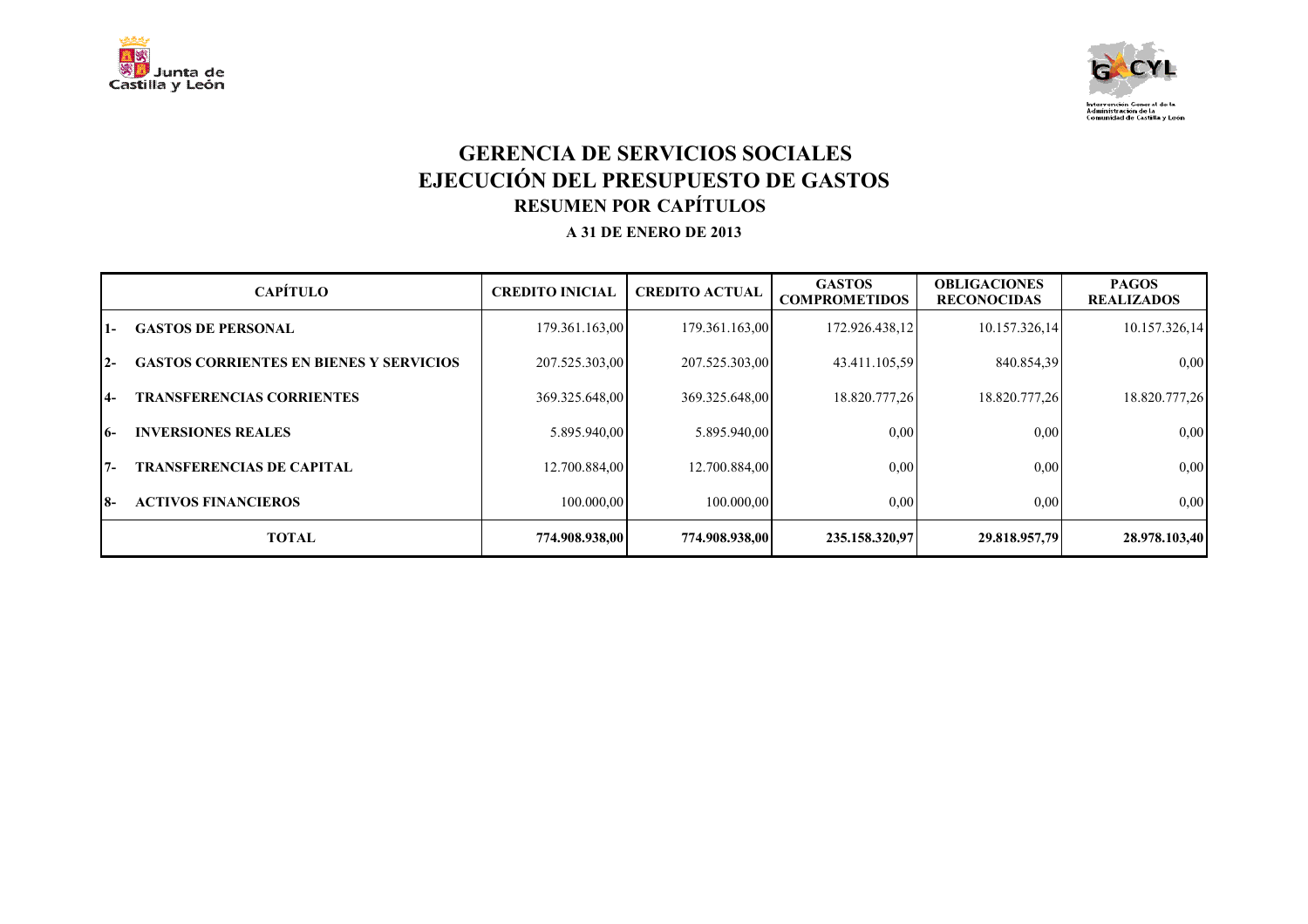



#### **GERENCIA DE SERVICIOS SOCIALES EJECUCIÓN DEL PRESUPUESTO DE GASTOS RESUMEN POR CAPÍTULOS A 31 DE ENERO DE 2013**

|       | <b>CAPÍTULO</b>                                | <b>CREDITO INICIAL</b> | <b>CREDITO ACTUAL</b> | <b>GASTOS</b><br><b>COMPROMETIDOS</b> | <b>OBLIGACIONES</b><br><b>RECONOCIDAS</b> | <b>PAGOS</b><br><b>REALIZADOS</b> |
|-------|------------------------------------------------|------------------------|-----------------------|---------------------------------------|-------------------------------------------|-----------------------------------|
| 1-    | <b>GASTOS DE PERSONAL</b>                      | 179.361.163,00         | 179.361.163,00        | 172.926.438,12                        | 10.157.326,14                             | 10.157.326,14                     |
| $2 -$ | <b>GASTOS CORRIENTES EN BIENES Y SERVICIOS</b> | 207.525.303,00         | 207.525.303,00        | 43.411.105,59                         | 840.854,39                                | 0,00                              |
| $4-$  | <b>TRANSFERENCIAS CORRIENTES</b>               | 369.325.648,00         | 369.325.648,00        | 18.820.777,26                         | 18.820.777,26                             | 18.820.777,26                     |
| 16-   | <b>INVERSIONES REALES</b>                      | 5.895.940.00           | 5.895.940.00          | 0,00                                  | 0.00                                      | 0,00                              |
| $7 -$ | <b>TRANSFERENCIAS DE CAPITAL</b>               | 12.700.884,00          | 12.700.884,00         | 0.00                                  | 0.00                                      | 0,00                              |
| I8-   | <b>ACTIVOS FINANCIEROS</b>                     | 100.000,00             | 100,000,00            | 0,00                                  | 0.00                                      | 0,00                              |
|       | <b>TOTAL</b>                                   | 774.908.938.00         | 774.908.938.00        | 235.158.320.97                        | 29.818.957.79                             | 28.978.103.40                     |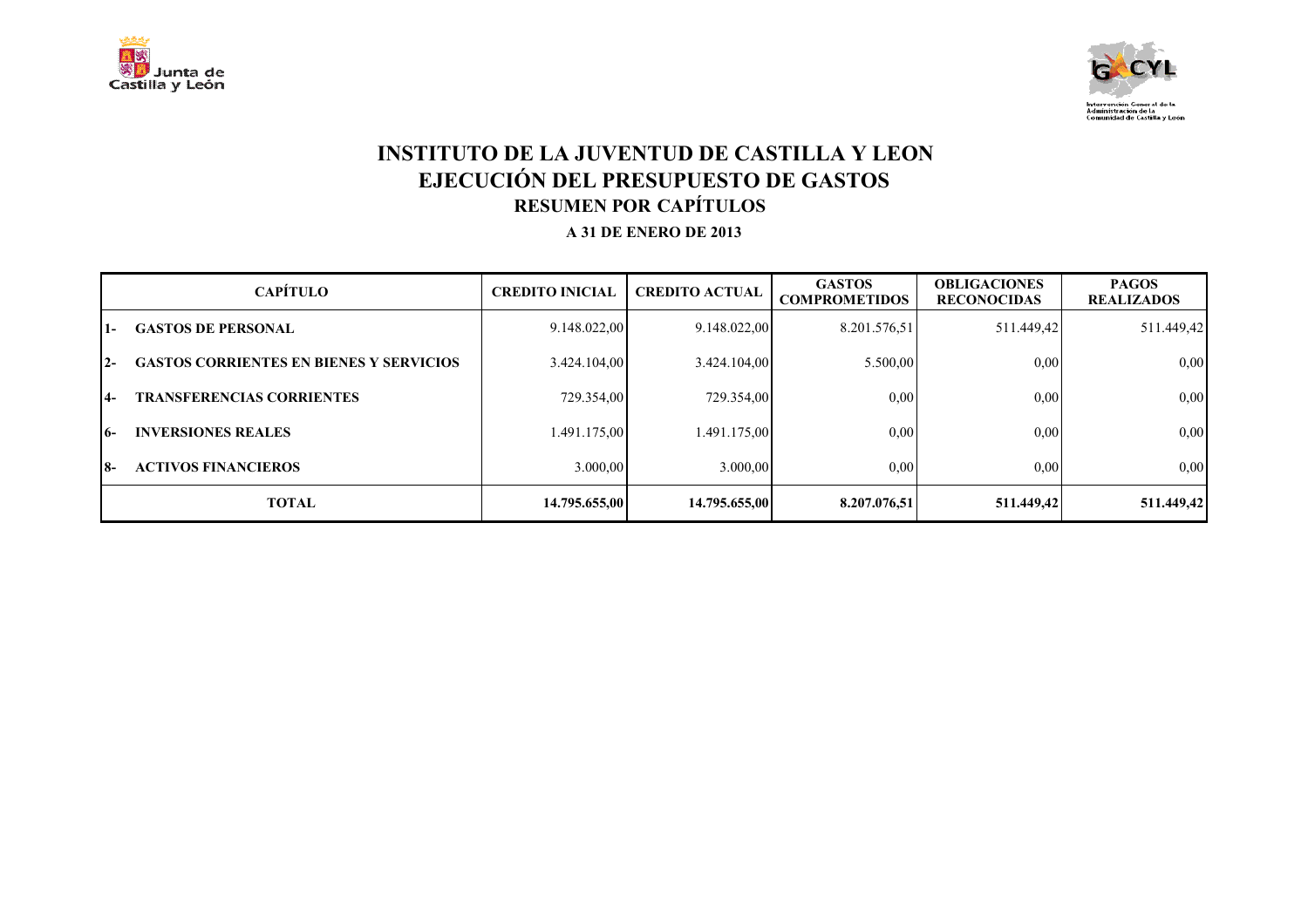



#### **INSTITUTO DE LA JUVENTUD DE CASTILLA Y LEON EJECUCIÓN DEL PRESUPUESTO DE GASTOS RESUMEN POR CAPÍTULOS A 31 DE ENERO DE 2013**

|       | <b>CAPÍTULO</b>                                | <b>CREDITO INICIAL</b> | <b>CREDITO ACTUAL</b> | <b>GASTOS</b><br><b>COMPROMETIDOS</b> | <b>OBLIGACIONES</b><br><b>RECONOCIDAS</b> | <b>PAGOS</b><br><b>REALIZADOS</b> |
|-------|------------------------------------------------|------------------------|-----------------------|---------------------------------------|-------------------------------------------|-----------------------------------|
| l 1 – | <b>GASTOS DE PERSONAL</b>                      | 9.148.022,00           | 9.148.022,00          | 8.201.576,51                          | 511.449,42                                | 511.449,42                        |
| $12-$ | <b>GASTOS CORRIENTES EN BIENES Y SERVICIOS</b> | 3.424.104,00           | 3.424.104,00          | 5.500,00                              | 0,00                                      | 0,00                              |
| I4-   | <b>TRANSFERENCIAS CORRIENTES</b>               | 729.354,00             | 729.354,00            | 0,00                                  | 0,00                                      | 0,00                              |
| 16-   | <b>INVERSIONES REALES</b>                      | 1.491.175,00           | .491.175,00           | 0,00                                  | 0,00                                      | 0,00                              |
| 18-   | <b>ACTIVOS FINANCIEROS</b>                     | 3.000,00               | 3.000,00              | 0,00                                  | 0.00                                      | 0,00                              |
|       | <b>TOTAL</b>                                   | 14.795.655,00          | 14.795.655,00         | 8.207.076.51                          | 511.449,42                                | 511.449,42                        |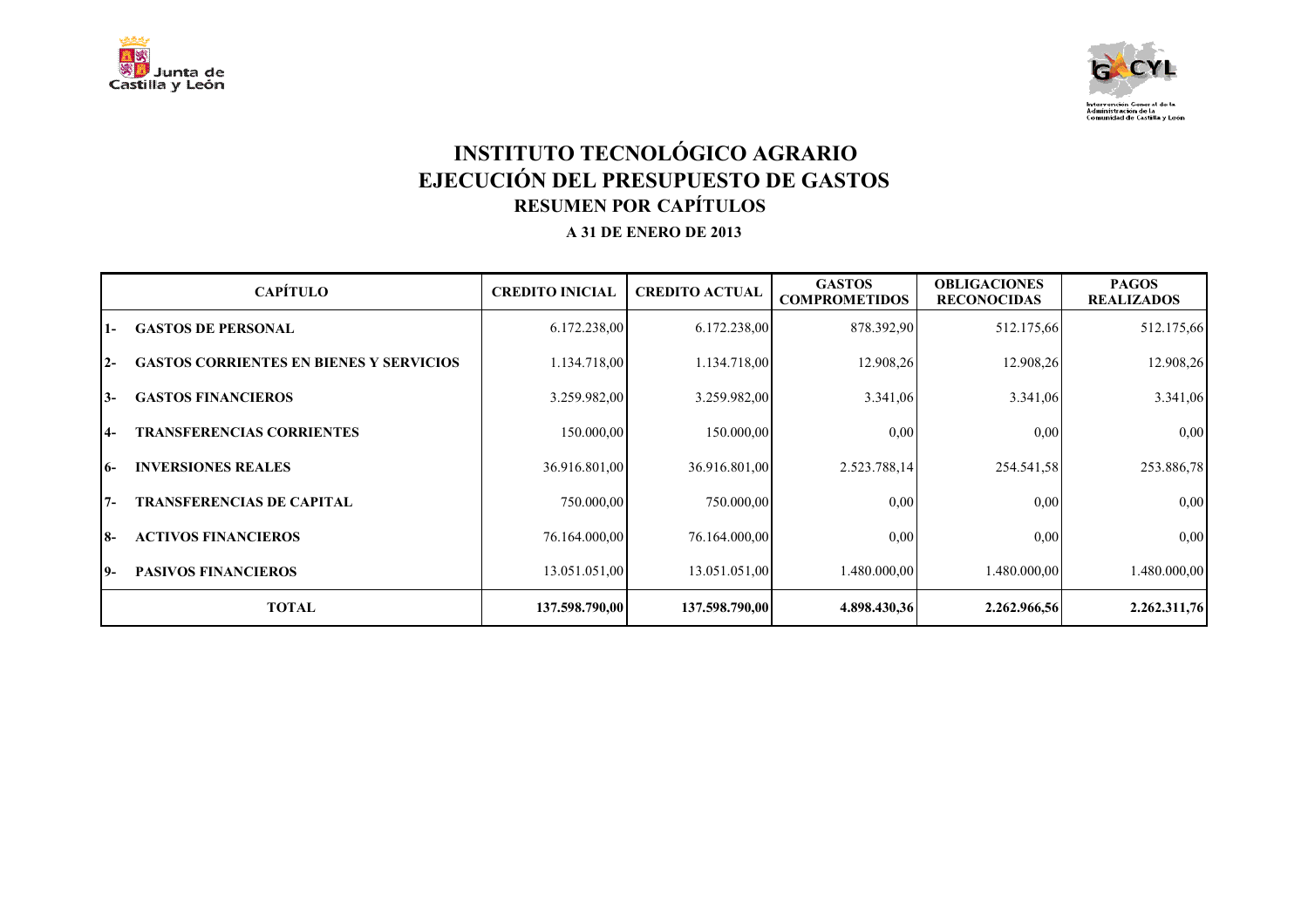



# **INSTITUTO TECNOLÓGICO AGRARIO EJECUCIÓN DEL PRESUPUESTO DE GASTOS RESUMEN POR CAPÍTULOS A 31 DE ENERO DE 2013**

|           | <b>CAPÍTULO</b>                                | <b>CREDITO INICIAL</b> | <b>CREDITO ACTUAL</b> | <b>GASTOS</b><br><b>COMPROMETIDOS</b> | <b>OBLIGACIONES</b><br><b>RECONOCIDAS</b> | <b>PAGOS</b><br><b>REALIZADOS</b> |
|-----------|------------------------------------------------|------------------------|-----------------------|---------------------------------------|-------------------------------------------|-----------------------------------|
| $1 -$     | <b>GASTOS DE PERSONAL</b>                      | 6.172.238,00           | 6.172.238,00          | 878.392,90                            | 512.175,66                                | 512.175,66                        |
| $2 -$     | <b>GASTOS CORRIENTES EN BIENES Y SERVICIOS</b> | 1.134.718,00           | 1.134.718,00          | 12.908,26                             | 12.908,26                                 | 12.908,26                         |
| $3-$      | <b>GASTOS FINANCIEROS</b>                      | 3.259.982,00           | 3.259.982,00          | 3.341,06                              | 3.341,06                                  | 3.341,06                          |
| <b>4-</b> | <b>TRANSFERENCIAS CORRIENTES</b>               | 150.000,00             | 150.000,00            | 0.00                                  | 0.00                                      | 0,00                              |
| $6-$      | <b>INVERSIONES REALES</b>                      | 36.916.801,00          | 36.916.801,00         | 2.523.788,14                          | 254.541,58                                | 253.886,78                        |
| $7 -$     | <b>TRANSFERENCIAS DE CAPITAL</b>               | 750.000,00             | 750,000,00            | 0.00                                  | 0.00                                      | 0,00                              |
| <b>8-</b> | <b>ACTIVOS FINANCIEROS</b>                     | 76.164.000,00          | 76.164.000,00         | 0.00                                  | 0.00                                      | 0,00                              |
| 19-       | <b>PASIVOS FINANCIEROS</b>                     | 13.051.051,00          | 13.051.051,00         | 1.480.000,00                          | 1.480.000,00                              | 1.480.000,00                      |
|           | <b>TOTAL</b>                                   | 137.598.790,00         | 137.598.790,00        | 4.898.430,36                          | 2.262.966,56                              | 2.262.311,76                      |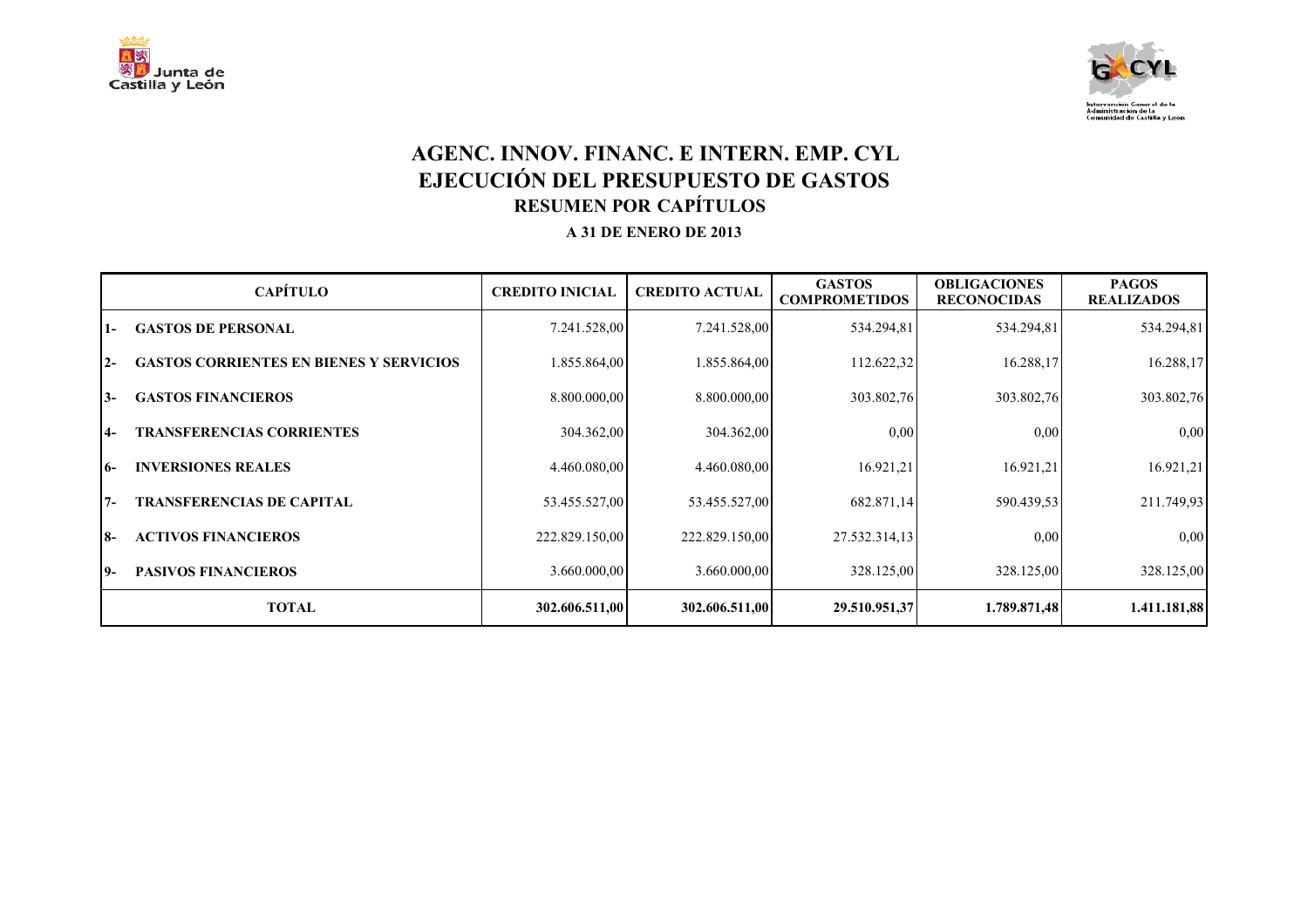



#### **AGENC. INNOV. FINANC. E INTERN. EMP. CYL EJECUCIÓN DEL PRESUPUESTO DE GASTOS RESUMEN POR CAPÍTULOS A 31 DE ENERO DE 2013**

|           | <b>CAPÍTULO</b>                                | <b>CREDITO INICIAL</b> | <b>CREDITO ACTUAL</b> | <b>GASTOS</b><br><b>COMPROMETIDOS</b> | <b>OBLIGACIONES</b><br><b>RECONOCIDAS</b> | <b>PAGOS</b><br><b>REALIZADOS</b> |
|-----------|------------------------------------------------|------------------------|-----------------------|---------------------------------------|-------------------------------------------|-----------------------------------|
| $1 -$     | <b>GASTOS DE PERSONAL</b>                      | 7.241.528,00           | 7.241.528,00          | 534.294,81                            | 534.294,81                                | 534.294,81                        |
| $2 -$     | <b>GASTOS CORRIENTES EN BIENES Y SERVICIOS</b> | 1.855.864,00           | 1.855.864,00          | 112.622,32                            | 16.288,17                                 | 16.288,17                         |
| $3-$      | <b>GASTOS FINANCIEROS</b>                      | 8.800.000,00           | 8.800.000,00          | 303.802,76                            | 303.802,76                                | 303.802,76                        |
| $4-$      | <b>TRANSFERENCIAS CORRIENTES</b>               | 304.362,00             | 304.362,00            | 0,00                                  | 0.00                                      | 0,00                              |
| $6-$      | <b>INVERSIONES REALES</b>                      | 4.460.080,00           | 4.460.080,00          | 16.921,21                             | 16.921,21                                 | 16.921,21                         |
| $7 -$     | <b>TRANSFERENCIAS DE CAPITAL</b>               | 53.455.527,00          | 53.455.527,00         | 682.871,14                            | 590.439,53                                | 211.749.93                        |
| <b>8-</b> | <b>ACTIVOS FINANCIEROS</b>                     | 222.829.150,00         | 222.829.150,00        | 27.532.314,13                         | 0.00                                      | 0,00                              |
| 19-       | <b>PASIVOS FINANCIEROS</b>                     | 3.660.000,00           | 3.660.000,00          | 328.125,00                            | 328.125,00                                | 328.125,00                        |
|           | <b>TOTAL</b>                                   | 302.606.511,00         | 302.606.511,00        | 29.510.951,37                         | 1.789.871,48                              | 1.411.181,88                      |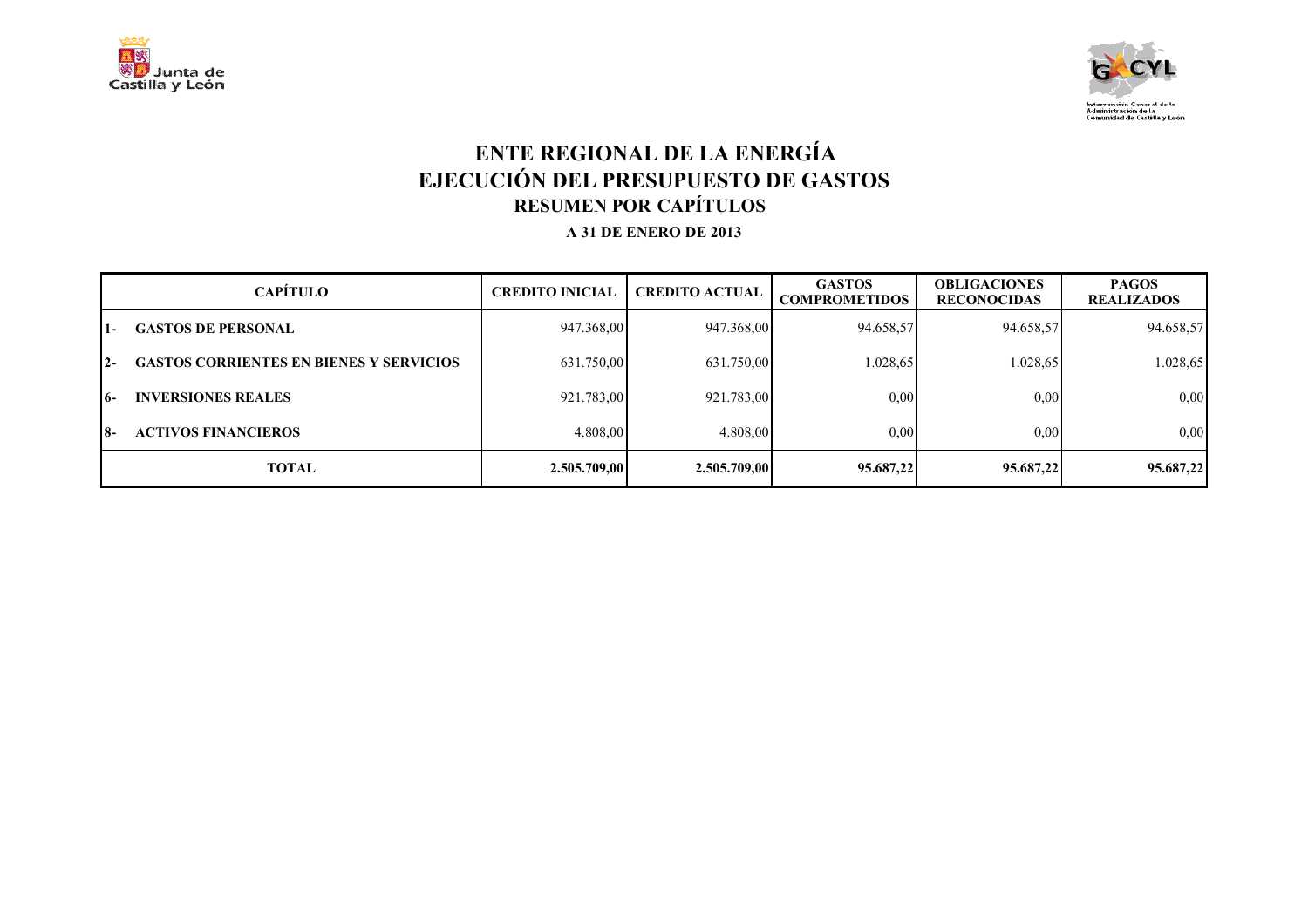



### **ENTE REGIONAL DE LA ENERGÍA EJECUCIÓN DEL PRESUPUESTO DE GASTOS RESUMEN POR CAPÍTULOS A 31 DE ENERO DE 2013**

|       | <b>CAPÍTULO</b>                                | <b>CREDITO INICIAL</b> | <b>CREDITO ACTUAL</b> | <b>GASTOS</b><br><b>COMPROMETIDOS</b> | <b>OBLIGACIONES</b><br><b>RECONOCIDAS</b> | <b>PAGOS</b><br><b>REALIZADOS</b> |
|-------|------------------------------------------------|------------------------|-----------------------|---------------------------------------|-------------------------------------------|-----------------------------------|
| l 1 – | <b>GASTOS DE PERSONAL</b>                      | 947.368,00             | 947.368,00            | 94.658,57                             | 94.658,57                                 | 94.658,57                         |
| $12-$ | <b>GASTOS CORRIENTES EN BIENES Y SERVICIOS</b> | 631.750,00             | 631.750,00            | 1.028,65                              | 1.028,65                                  | 1.028,65                          |
| 16-   | <b>INVERSIONES REALES</b>                      | 921.783,00             | 921.783,00            | 0,00                                  | 0,00                                      | 0,00                              |
| 18-   | <b>ACTIVOS FINANCIEROS</b>                     | 4.808,00               | 4.808,00              | 0.00                                  | 0.00                                      | 0,00                              |
|       | <b>TOTAL</b>                                   | 2.505.709,00           | 2.505.709,00          | 95.687,22                             | 95.687,22                                 | 95.687,22                         |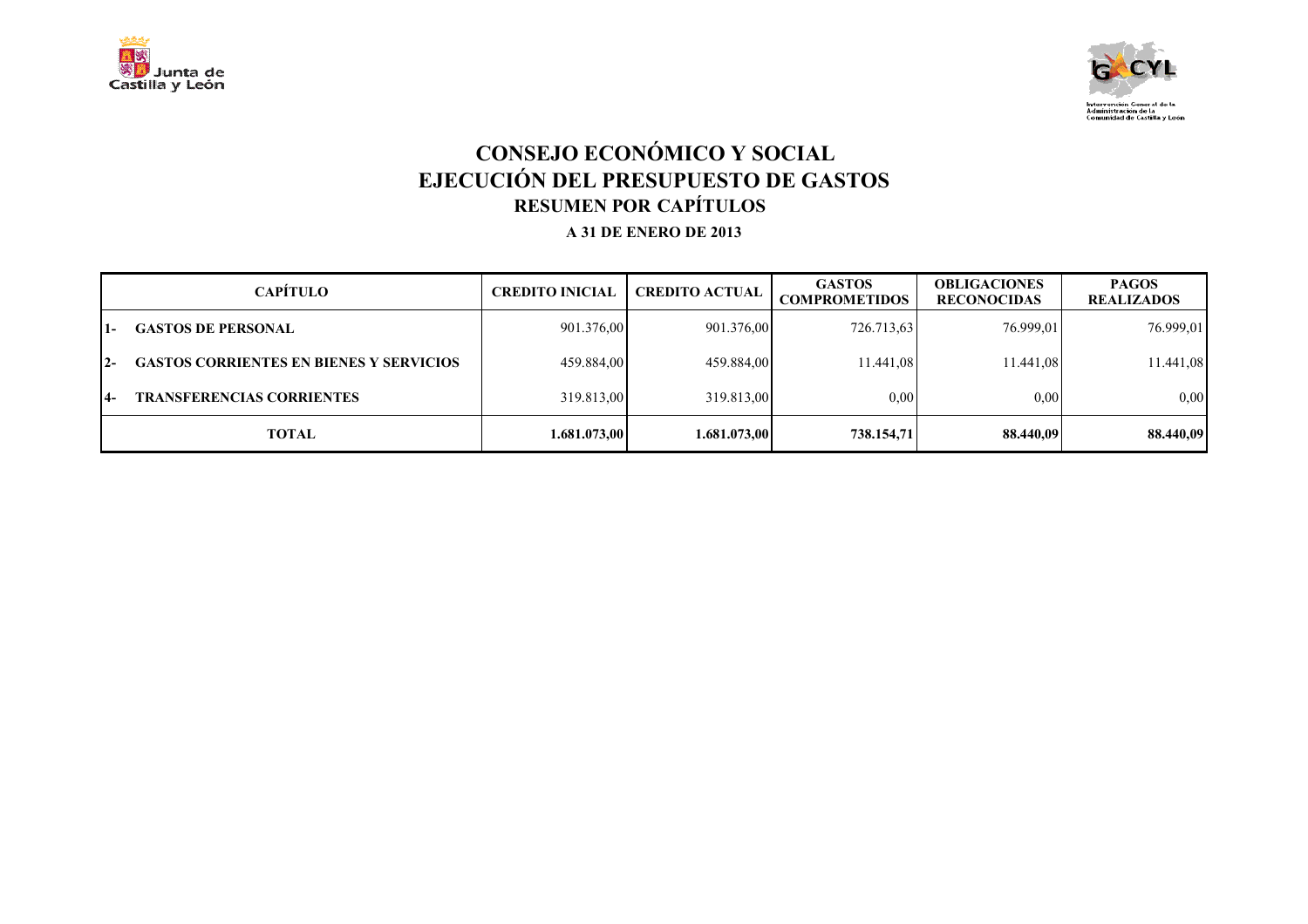



# **CONSEJO ECONÓMICO Y SOCIAL EJECUCIÓN DEL PRESUPUESTO DE GASTOS RESUMEN POR CAPÍTULOS A 31 DE ENERO DE 2013**

|       | <b>CAPÍTULO</b>                                | <b>CREDITO INICIAL</b> | <b>CREDITO ACTUAL</b> | <b>GASTOS</b><br><b>COMPROMETIDOS</b> | <b>OBLIGACIONES</b><br><b>RECONOCIDAS</b> | <b>PAGOS</b><br><b>REALIZADOS</b> |
|-------|------------------------------------------------|------------------------|-----------------------|---------------------------------------|-------------------------------------------|-----------------------------------|
| $1 -$ | <b>GASTOS DE PERSONAL</b>                      | 901.376,00             | 901.376,00            | 726.713,63                            | 76.999,01                                 | 76.999,01                         |
| $12-$ | <b>GASTOS CORRIENTES EN BIENES Y SERVICIOS</b> | 459.884,00             | 459.884,00            | 11.441.08                             | 11.441.08                                 | 11.441,08                         |
| 14-   | <b>TRANSFERENCIAS CORRIENTES</b>               | 319.813.00             | 319.813.00            | 0.00                                  | 0.00                                      | 0.00                              |
|       | <b>TOTAL</b>                                   | 1.681.073,00           | 1.681.073,00          | 738.154,71                            | 88.440,09                                 | 88.440,09                         |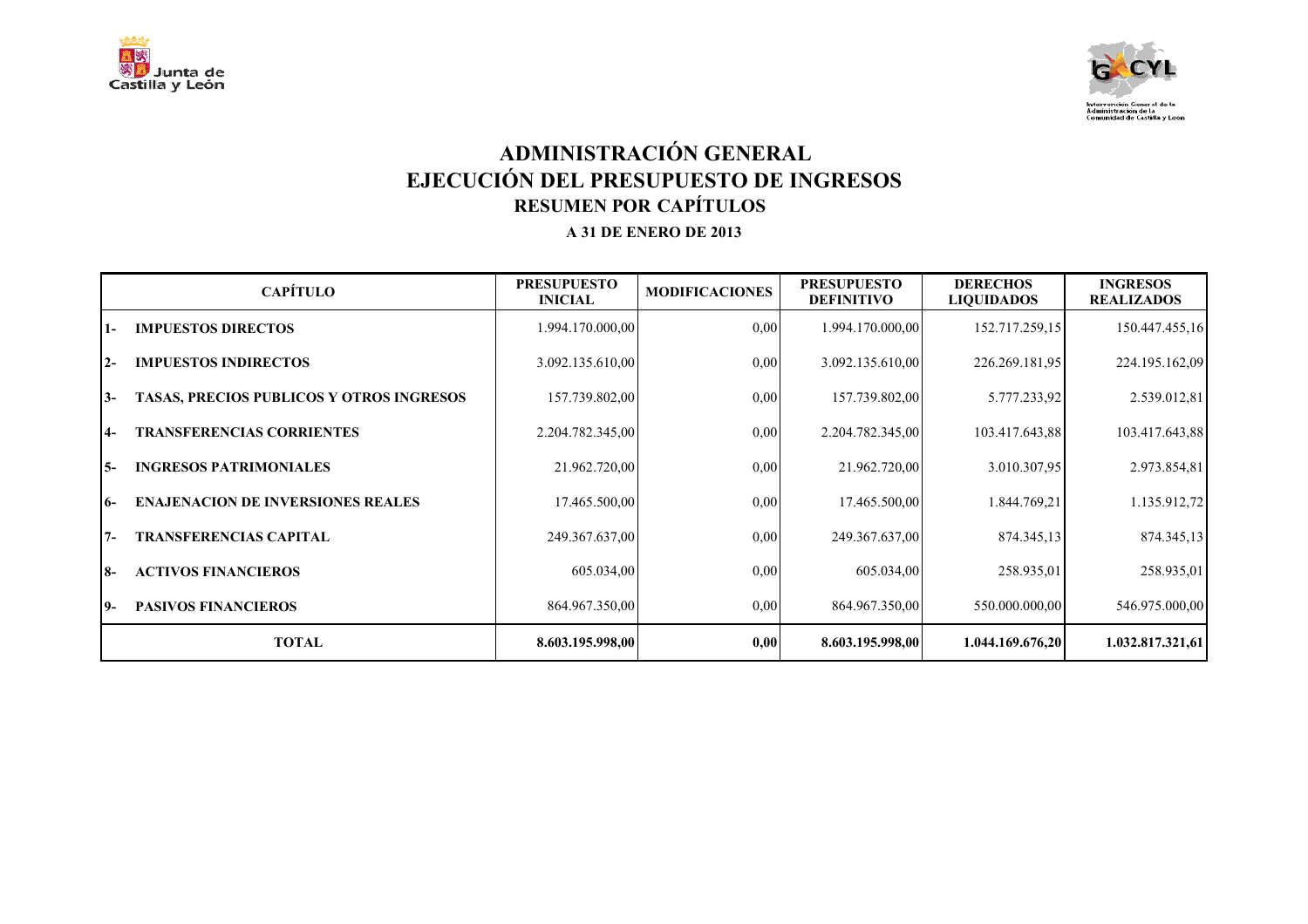



# **ADMINISTRACIÓN GENERAL EJECUCIÓN DEL PRESUPUESTO DE INGRESOS RESUMEN POR CAPÍTULOS A 31 DE ENERO DE 2013**

|            | <b>CAPÍTULO</b>                          | <b>PRESUPUESTO</b><br><b>INICIAL</b> | <b>MODIFICACIONES</b> | <b>PRESUPUESTO</b><br><b>DEFINITIVO</b> | <b>DERECHOS</b><br><b>LIQUIDADOS</b> | <b>INGRESOS</b><br><b>REALIZADOS</b> |
|------------|------------------------------------------|--------------------------------------|-----------------------|-----------------------------------------|--------------------------------------|--------------------------------------|
| $1-$       | <b>IMPUESTOS DIRECTOS</b>                | 1.994.170.000,00                     | 0,00                  | 1.994.170.000,00                        | 152.717.259,15                       | 150.447.455,16                       |
| $2 -$      | <b>IMPUESTOS INDIRECTOS</b>              | 3.092.135.610,00                     | 0,00                  | 3.092.135.610,00                        | 226.269.181,95                       | 224.195.162,09                       |
| $13-$      | TASAS, PRECIOS PUBLICOS Y OTROS INGRESOS | 157.739.802,00                       | 0,00                  | 157.739.802,00                          | 5.777.233,92                         | 2.539.012,81                         |
| $4-$       | <b>TRANSFERENCIAS CORRIENTES</b>         | 2.204.782.345,00                     | 0,00                  | 2.204.782.345,00                        | 103.417.643,88                       | 103.417.643,88                       |
| I 5-       | <b>INGRESOS PATRIMONIALES</b>            | 21.962.720,00                        | 0,00                  | 21.962.720,00                           | 3.010.307.95                         | 2.973.854,81                         |
| 16-        | <b>ENAJENACION DE INVERSIONES REALES</b> | 17.465.500,00                        | 0,00                  | 17.465.500,00                           | 1.844.769,21                         | 1.135.912,72                         |
| 17-        | <b>TRANSFERENCIAS CAPITAL</b>            | 249.367.637,00                       | 0,00                  | 249.367.637,00                          | 874.345,13                           | 874.345,13                           |
| <b>18-</b> | <b>ACTIVOS FINANCIEROS</b>               | 605.034,00                           | 0,00                  | 605.034,00                              | 258.935,01                           | 258.935,01                           |
| 19-        | <b>PASIVOS FINANCIEROS</b>               | 864.967.350,00                       | 0,00                  | 864.967.350,00                          | 550.000.000,00                       | 546.975.000,00                       |
|            | <b>TOTAL</b>                             | 8.603.195.998,00                     | 0,00                  | 8.603.195.998,00                        | 1.044.169.676,20                     | 1.032.817.321,61                     |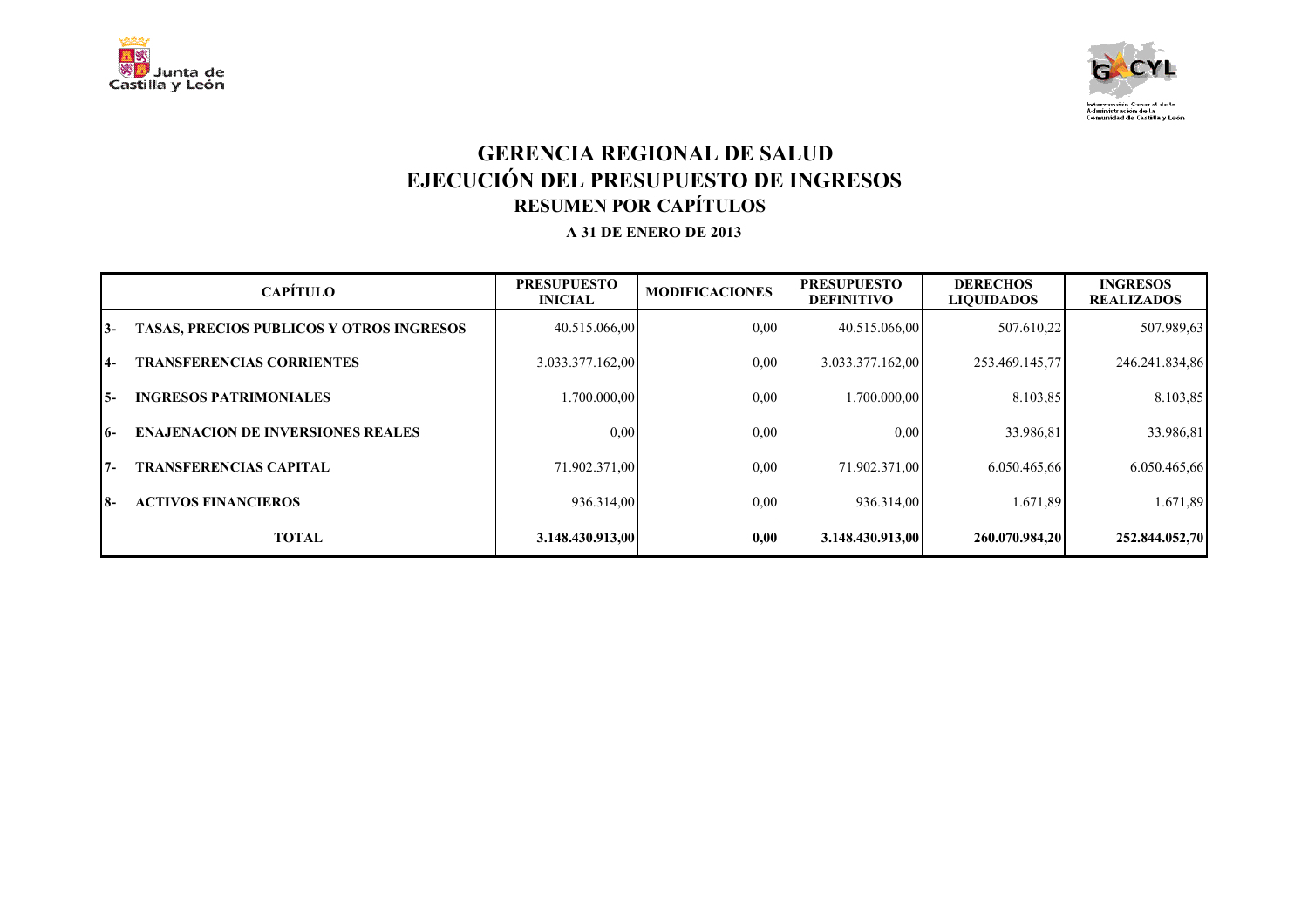



#### **GERENCIA REGIONAL DE SALUD EJECUCIÓN DEL PRESUPUESTO DE INGRESOS RESUMEN POR CAPÍTULOS A 31 DE ENERO DE 2013**

|       | <b>CAPÍTULO</b>                                 | <b>PRESUPUESTO</b><br><b>INICIAL</b> | <b>MODIFICACIONES</b> | <b>PRESUPUESTO</b><br><b>DEFINITIVO</b> | <b>DERECHOS</b><br><b>LIQUIDADOS</b> | <b>INGRESOS</b><br><b>REALIZADOS</b> |
|-------|-------------------------------------------------|--------------------------------------|-----------------------|-----------------------------------------|--------------------------------------|--------------------------------------|
| 13-   | <b>TASAS, PRECIOS PUBLICOS Y OTROS INGRESOS</b> | 40.515.066.00                        | $0.00\,$              | 40.515.066,00                           | 507.610.22                           | 507.989,63                           |
| $4-$  | <b>TRANSFERENCIAS CORRIENTES</b>                | 3.033.377.162,00                     | 0,00                  | 3.033.377.162,00                        | 253.469.145,77                       | 246.241.834,86                       |
| I5-   | <b>INGRESOS PATRIMONIALES</b>                   | 1.700.000,00                         | $0.00\,$              | 1.700.000,00                            | 8.103,85                             | 8.103,85                             |
| $16-$ | <b>ENAJENACION DE INVERSIONES REALES</b>        | 0.00                                 | 0.00                  | 0,00                                    | 33.986.81                            | 33.986,81                            |
| $7 -$ | <b>TRANSFERENCIAS CAPITAL</b>                   | 71.902.371,00                        | $0.00\,$              | 71.902.371,00                           | 6.050.465.66                         | 6.050.465,66                         |
| I8-   | <b>ACTIVOS FINANCIEROS</b>                      | 936.314,00                           | $0.00\,$              | 936.314,00                              | 1.671,89                             | 1.671,89                             |
|       | <b>TOTAL</b>                                    | 3.148.430.913,00                     | 0.00                  | 3.148.430.913,00                        | 260.070.984.20                       | 252.844.052,70                       |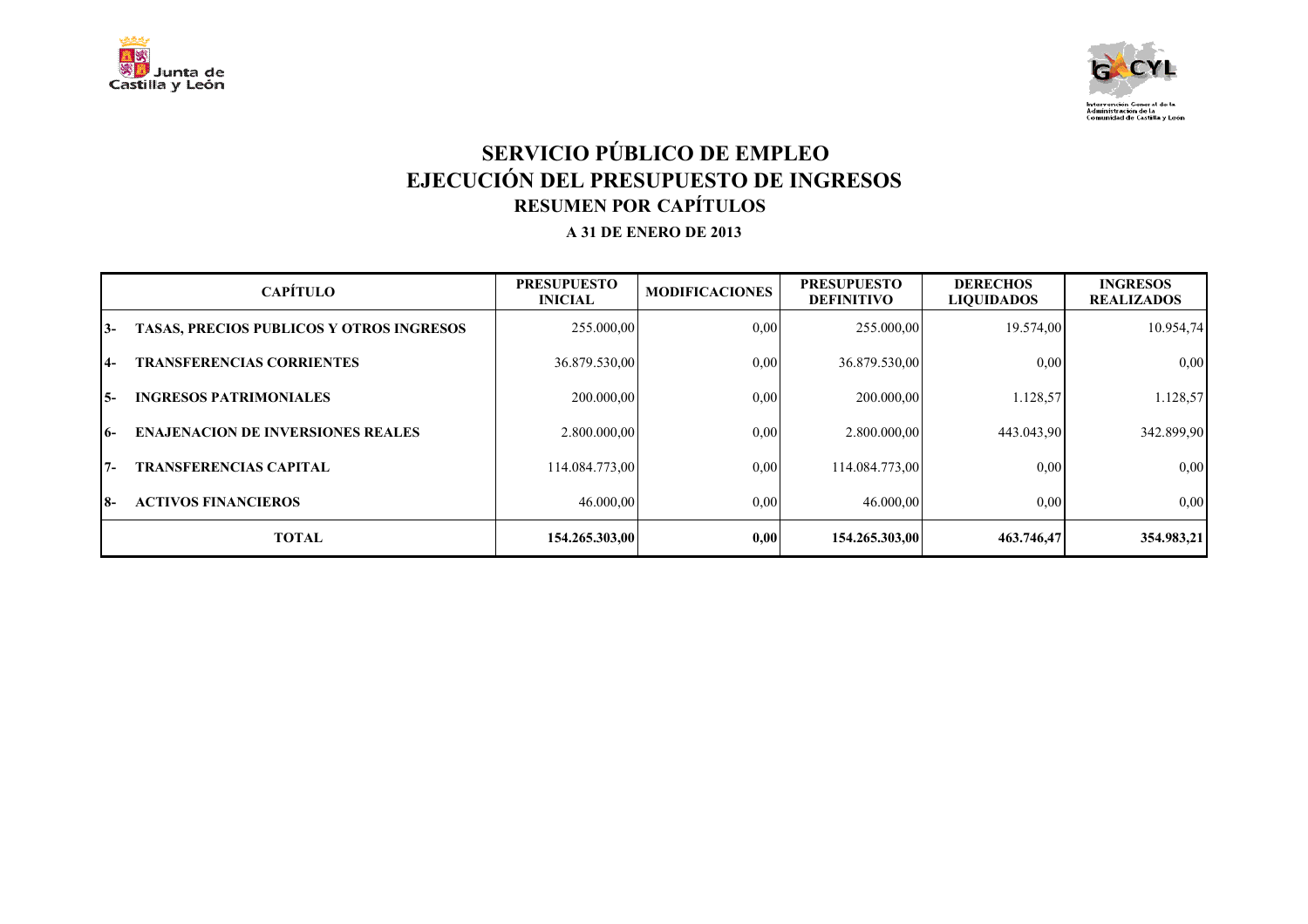



# **SERVICIO PÚBLICO DE EMPLEO EJECUCIÓN DEL PRESUPUESTO DE INGRESOS RESUMEN POR CAPÍTULOS A 31 DE ENERO DE 2013**

|       | <b>CAPÍTULO</b>                                 | <b>PRESUPUESTO</b><br><b>INICIAL</b> | <b>MODIFICACIONES</b> | <b>PRESUPUESTO</b><br><b>DEFINITIVO</b> | <b>DERECHOS</b><br><b>LIQUIDADOS</b> | <b>INGRESOS</b><br><b>REALIZADOS</b> |
|-------|-------------------------------------------------|--------------------------------------|-----------------------|-----------------------------------------|--------------------------------------|--------------------------------------|
| 13-   | <b>TASAS, PRECIOS PUBLICOS Y OTROS INGRESOS</b> | 255.000,00                           | 0,00                  | 255.000,00                              | 19.574,00                            | 10.954,74                            |
| 14-   | <b>TRANSFERENCIAS CORRIENTES</b>                | 36.879.530,00                        | 0.00                  | 36.879.530,00                           | 0.00                                 | 0,00                                 |
| I5-   | <b>INGRESOS PATRIMONIALES</b>                   | 200.000,00                           | 0.00                  | 200.000,00                              | 1.128,57                             | 1.128,57                             |
| 16-   | <b>ENAJENACION DE INVERSIONES REALES</b>        | 2.800.000,00                         | 0.00                  | 2.800.000,00                            | 443.043.90                           | 342.899,90                           |
| $17-$ | <b>TRANSFERENCIAS CAPITAL</b>                   | 114.084.773.00                       | 0.00                  | 114.084.773.00                          | 0,00                                 | 0,00                                 |
| I8-   | <b>ACTIVOS FINANCIEROS</b>                      | 46.000,00                            | 0.00                  | 46.000,00                               | 0,00                                 | 0.00                                 |
|       | <b>TOTAL</b>                                    | 154.265.303,00                       | 0.00                  | 154.265.303,00                          | 463.746,47                           | 354.983,21                           |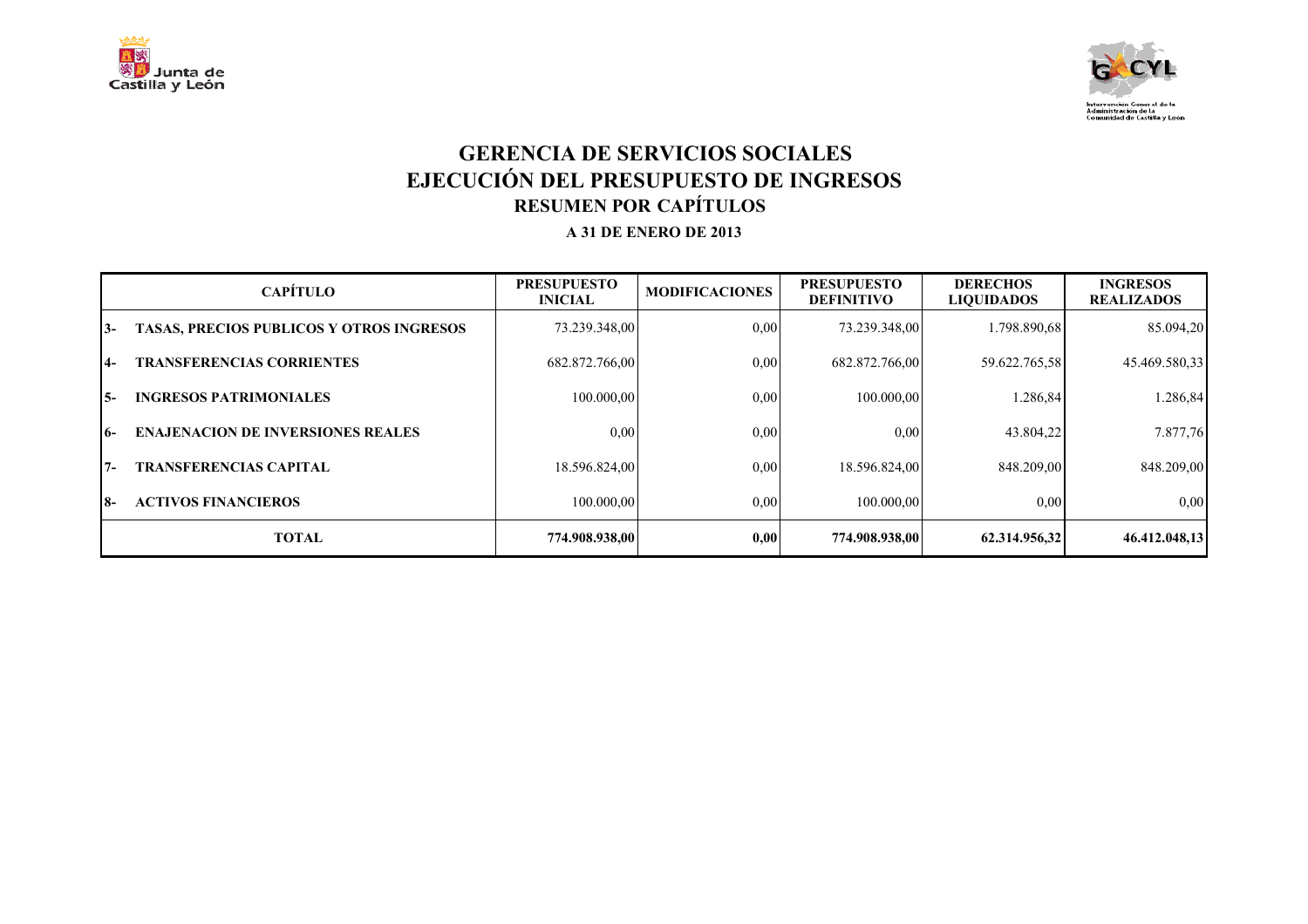



#### **GERENCIA DE SERVICIOS SOCIALES EJECUCIÓN DEL PRESUPUESTO DE INGRESOS RESUMEN POR CAPÍTULOS A 31 DE ENERO DE 2013**

|       | <b>CAPÍTULO</b>                                 | <b>PRESUPUESTO</b><br><b>INICIAL</b> | <b>MODIFICACIONES</b> | <b>PRESUPUESTO</b><br><b>DEFINITIVO</b> | <b>DERECHOS</b><br><b>LIQUIDADOS</b> | <b>INGRESOS</b><br><b>REALIZADOS</b> |
|-------|-------------------------------------------------|--------------------------------------|-----------------------|-----------------------------------------|--------------------------------------|--------------------------------------|
| 13-   | <b>TASAS, PRECIOS PUBLICOS Y OTROS INGRESOS</b> | 73.239.348,00                        | 0.00                  | 73.239.348,00                           | 1.798.890.68                         | 85.094,20                            |
| $4-$  | <b>TRANSFERENCIAS CORRIENTES</b>                | 682.872.766,00                       | 0.00                  | 682.872.766,00                          | 59.622.765,58                        | 45.469.580,33                        |
| I 5-  | <b>INGRESOS PATRIMONIALES</b>                   | 100.000,00                           | 0.00                  | 100.000,00                              | 1.286,84                             | 1.286,84                             |
| $16-$ | <b>ENAJENACION DE INVERSIONES REALES</b>        | 0,00                                 | 0,00                  | 0,00                                    | 43.804.22                            | 7.877,76                             |
| 17-   | <b>TRANSFERENCIAS CAPITAL</b>                   | 18.596.824,00                        | 0.00                  | 18.596.824,00                           | 848.209.00                           | 848.209,00                           |
| I8-   | <b>ACTIVOS FINANCIEROS</b>                      | 100.000.00                           | 0.00                  | 100,000,00                              | 0,00                                 | 0.00                                 |
|       | <b>TOTAL</b>                                    | 774.908.938,00                       | 0.00                  | 774.908.938,00                          | 62.314.956,32                        | 46.412.048,13                        |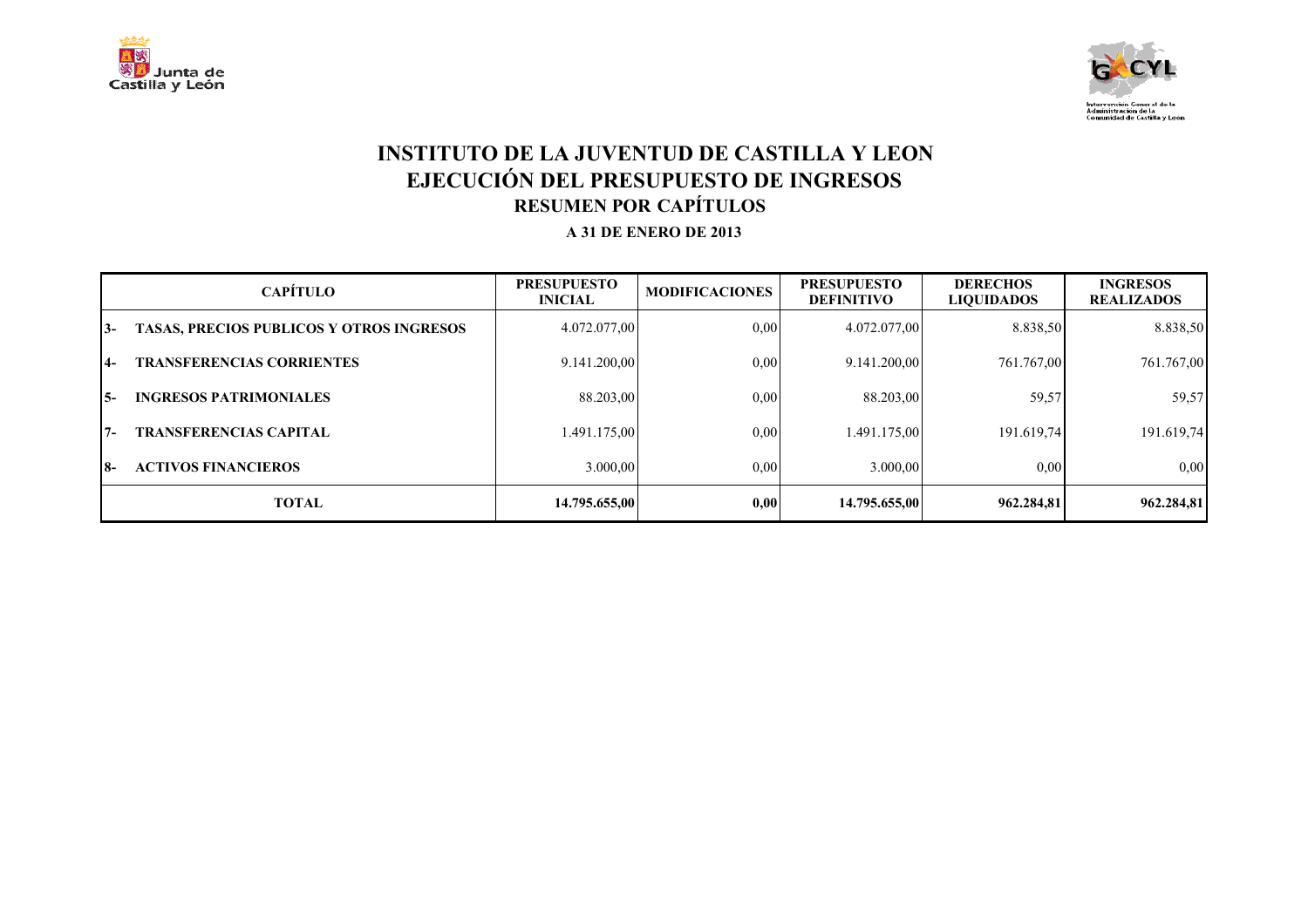



#### **INSTITUTO DE LA JUVENTUD DE CASTILLA Y LEON EJECUCIÓN DEL PRESUPUESTO DE INGRESOS RESUMEN POR CAPÍTULOS A 31 DE ENERO DE 2013**

|       | <b>CAPÍTULO</b>                                 | <b>PRESUPUESTO</b><br><b>INICIAL</b> | <b>MODIFICACIONES</b> | <b>PRESUPUESTO</b><br><b>DEFINITIVO</b> | <b>DERECHOS</b><br><b>LIOUIDADOS</b> | <b>INGRESOS</b><br><b>REALIZADOS</b> |
|-------|-------------------------------------------------|--------------------------------------|-----------------------|-----------------------------------------|--------------------------------------|--------------------------------------|
| $13-$ | <b>TASAS, PRECIOS PUBLICOS Y OTROS INGRESOS</b> | 4.072.077,00                         | 0.00                  | 4.072.077,00                            | 8.838,50                             | 8.838,50                             |
| $14-$ | <b>TRANSFERENCIAS CORRIENTES</b>                | 9.141.200,00                         | 0.00                  | 9.141.200,00                            | 761.767.00                           | 761.767,00                           |
| $15-$ | <b>INGRESOS PATRIMONIALES</b>                   | 88.203,00                            | 0.00                  | 88.203,00                               | 59,57                                | 59,57                                |
| $17-$ | <b>TRANSFERENCIAS CAPITAL</b>                   | 1.491.175,00                         | 0,00                  | 1.491.175.00                            | 191.619.74                           | 191.619,74                           |
| I8-   | <b>ACTIVOS FINANCIEROS</b>                      | 3.000,00                             | 0,00                  | 3.000.00                                | 0.00                                 | 0,00                                 |
|       | <b>TOTAL</b>                                    | 14.795.655.00                        | 0,00                  | 14.795.655,00                           | 962.284.81                           | 962.284.81                           |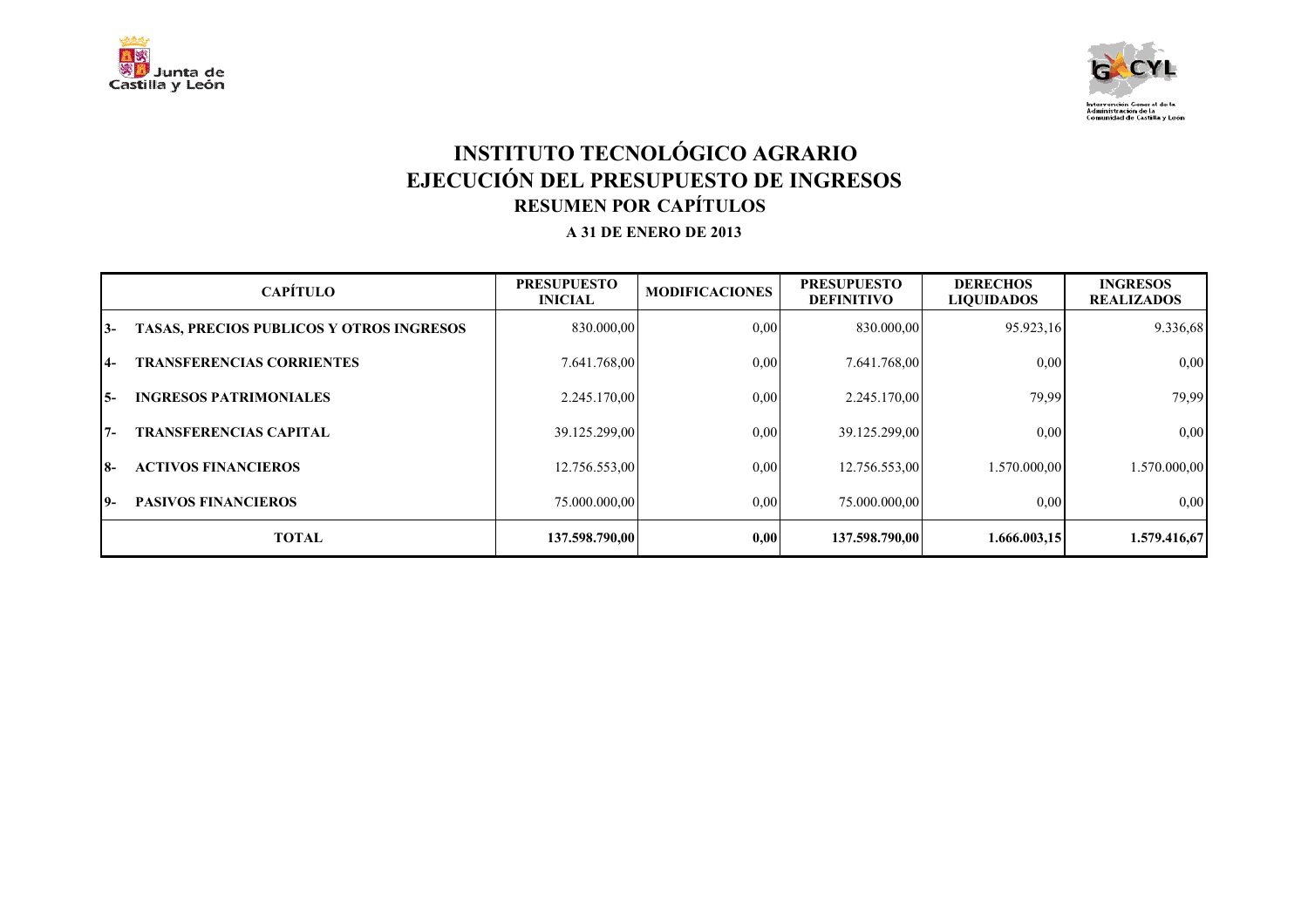



# **INSTITUTO TECNOLÓGICO AGRARIO EJECUCIÓN DEL PRESUPUESTO DE INGRESOS RESUMEN POR CAPÍTULOS A 31 DE ENERO DE 2013**

|           | <b>CAPÍTULO</b>                                 | <b>PRESUPUESTO</b><br><b>INICIAL</b> | <b>MODIFICACIONES</b> | <b>PRESUPUESTO</b><br><b>DEFINITIVO</b> | <b>DERECHOS</b><br><b>LIQUIDADOS</b> | <b>INGRESOS</b><br><b>REALIZADOS</b> |
|-----------|-------------------------------------------------|--------------------------------------|-----------------------|-----------------------------------------|--------------------------------------|--------------------------------------|
| 13-       | <b>TASAS, PRECIOS PUBLICOS Y OTROS INGRESOS</b> | 830.000,00                           | 0,00                  | 830.000,00                              | 95.923,16                            | 9.336,68                             |
| <b>14</b> | <b>TRANSFERENCIAS CORRIENTES</b>                | 7.641.768,00                         | 0,00                  | 7.641.768,00                            | 0,00                                 | 0,00                                 |
| I5-       | <b>INGRESOS PATRIMONIALES</b>                   | 2.245.170,00                         | 0.00                  | 2.245.170,00                            | 79,99                                | 79,99                                |
| $7 -$     | <b>TRANSFERENCIAS CAPITAL</b>                   | 39.125.299,00                        | 0,00                  | 39.125.299,00                           | 0,00                                 | 0,00                                 |
| $18-$     | <b>ACTIVOS FINANCIEROS</b>                      | 12.756.553,00                        | 0,00                  | 12.756.553,00                           | 1.570.000.00                         | 1.570.000,00                         |
| 19-       | <b>PASIVOS FINANCIEROS</b>                      | 75.000.000,00                        | 0.00                  | 75.000.000,00                           | 0,00                                 | 0.00                                 |
|           | <b>TOTAL</b>                                    | 137.598.790.00                       | 0,00                  | 137.598.790,00                          | 1.666.003.15                         | 1.579.416,67                         |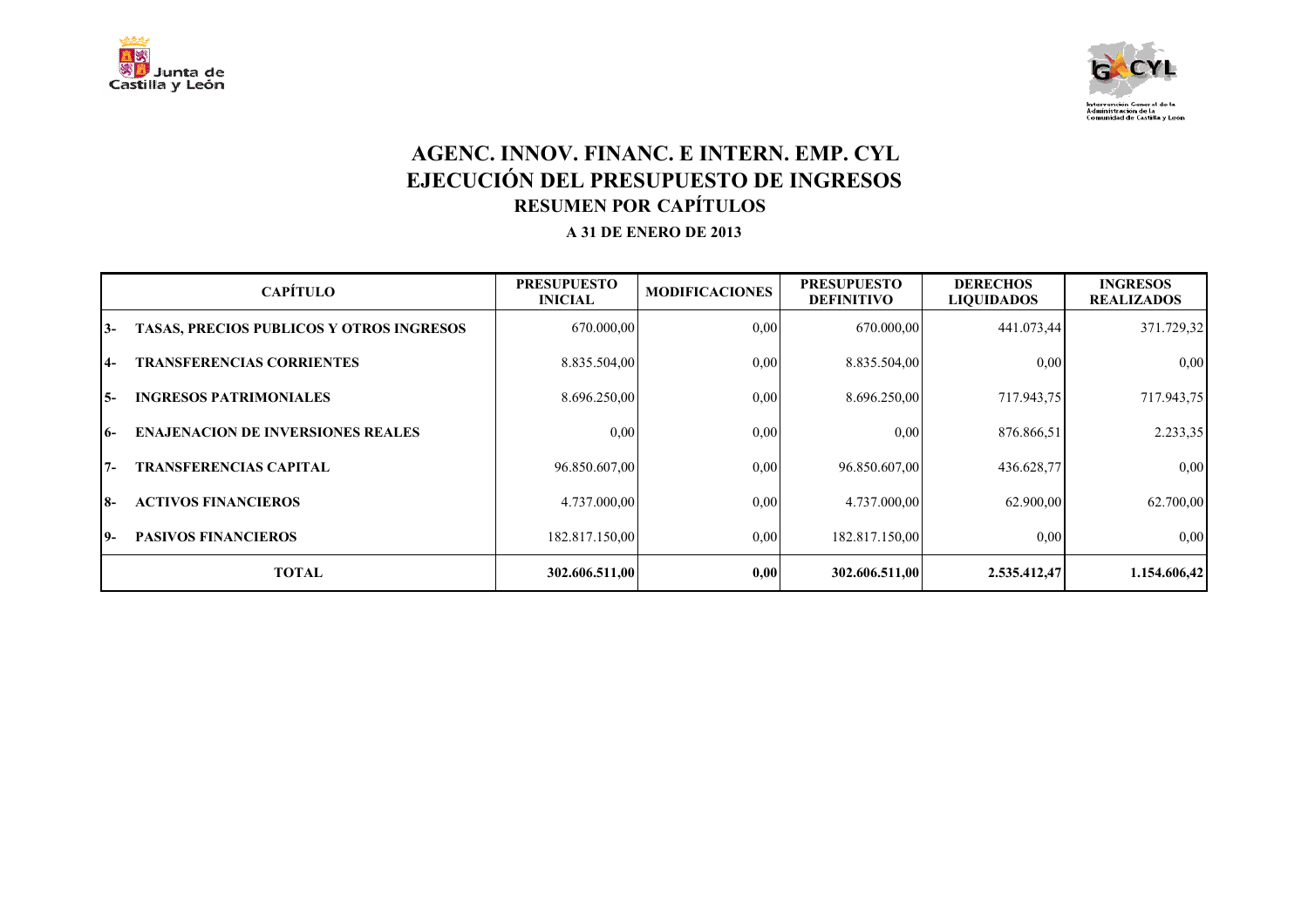



#### **AGENC. INNOV. FINANC. E INTERN. EMP. CYL EJECUCIÓN DEL PRESUPUESTO DE INGRESOS RESUMEN POR CAPÍTULOS A 31 DE ENERO DE 2013**

|            | <b>CAPÍTULO</b>                                 | <b>PRESUPUESTO</b><br><b>INICIAL</b> | <b>MODIFICACIONES</b> | <b>PRESUPUESTO</b><br><b>DEFINITIVO</b> | <b>DERECHOS</b><br><b>LIQUIDADOS</b> | <b>INGRESOS</b><br><b>REALIZADOS</b> |
|------------|-------------------------------------------------|--------------------------------------|-----------------------|-----------------------------------------|--------------------------------------|--------------------------------------|
| 13-        | <b>TASAS, PRECIOS PUBLICOS Y OTROS INGRESOS</b> | 670.000,00                           | 0,00                  | 670.000,00                              | 441.073,44                           | 371.729,32                           |
| <b>14-</b> | <b>TRANSFERENCIAS CORRIENTES</b>                | 8.835.504,00                         | 0,00                  | 8.835.504,00                            | 0,00                                 | 0.00                                 |
| I5-        | <b>INGRESOS PATRIMONIALES</b>                   | 8.696.250,00                         | 0,00                  | 8.696.250,00                            | 717.943,75                           | 717.943,75                           |
| $16-$      | <b>ENAJENACION DE INVERSIONES REALES</b>        | 0,00                                 | 0.00                  | 0,00                                    | 876.866,51                           | 2.233,35                             |
| $17-$      | <b>TRANSFERENCIAS CAPITAL</b>                   | 96.850.607,00                        | 0.00                  | 96.850.607,00                           | 436.628,77                           | 0.00                                 |
| 18-        | <b>ACTIVOS FINANCIEROS</b>                      | 4.737.000,00                         | 0.00                  | 4.737.000,00                            | 62.900,00                            | 62.700,00                            |
| 19-        | <b>PASIVOS FINANCIEROS</b>                      | 182.817.150,00                       | 0.00                  | 182.817.150,00                          | 0,00                                 | 0.00                                 |
|            | <b>TOTAL</b>                                    | 302.606.511,00                       | 0,00                  | 302.606.511,00                          | 2.535.412,47                         | 1.154.606,42                         |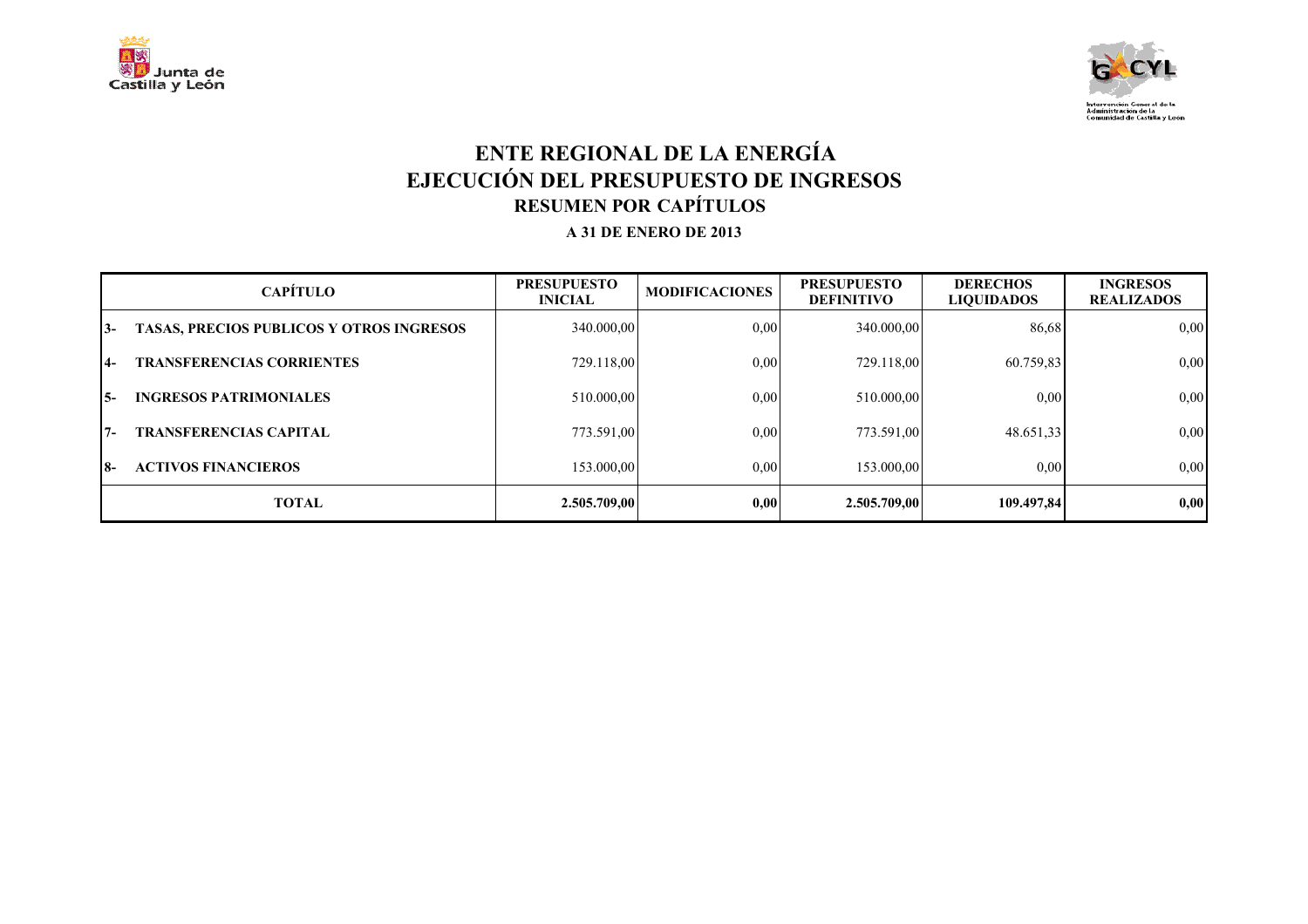



### **ENTE REGIONAL DE LA ENERGÍA EJECUCIÓN DEL PRESUPUESTO DE INGRESOS RESUMEN POR CAPÍTULOS A 31 DE ENERO DE 2013**

|       | <b>CAPÍTULO</b>                                 | <b>PRESUPUESTO</b><br><b>INICIAL</b> | <b>MODIFICACIONES</b> | <b>PRESUPUESTO</b><br><b>DEFINITIVO</b> | <b>DERECHOS</b><br><b>LIQUIDADOS</b> | <b>INGRESOS</b><br><b>REALIZADOS</b> |
|-------|-------------------------------------------------|--------------------------------------|-----------------------|-----------------------------------------|--------------------------------------|--------------------------------------|
| 13-   | <b>TASAS, PRECIOS PUBLICOS Y OTROS INGRESOS</b> | 340.000,00                           | 0.00                  | 340.000,00                              | 86,68                                | 0,00                                 |
| $14-$ | <b>TRANSFERENCIAS CORRIENTES</b>                | 729.118,00                           | 0,00                  | 729.118,00                              | 60.759,83                            | 0,00                                 |
| I 5-  | <b>INGRESOS PATRIMONIALES</b>                   | 510.000,00                           | 0.00                  | 510.000,00                              | 0,00                                 | 0,00                                 |
| $17-$ | <b>TRANSFERENCIAS CAPITAL</b>                   | 773.591,00                           | 0,00                  | 773.591,00                              | 48.651,33                            | 0,00                                 |
| I8-   | <b>ACTIVOS FINANCIEROS</b>                      | 153,000.00                           | 0,00                  | 153.000,00                              | 0.00                                 | 0,00                                 |
|       | <b>TOTAL</b>                                    | 2.505.709,00                         | 0.00                  | 2.505.709.00                            | 109.497.84                           | 0,00                                 |